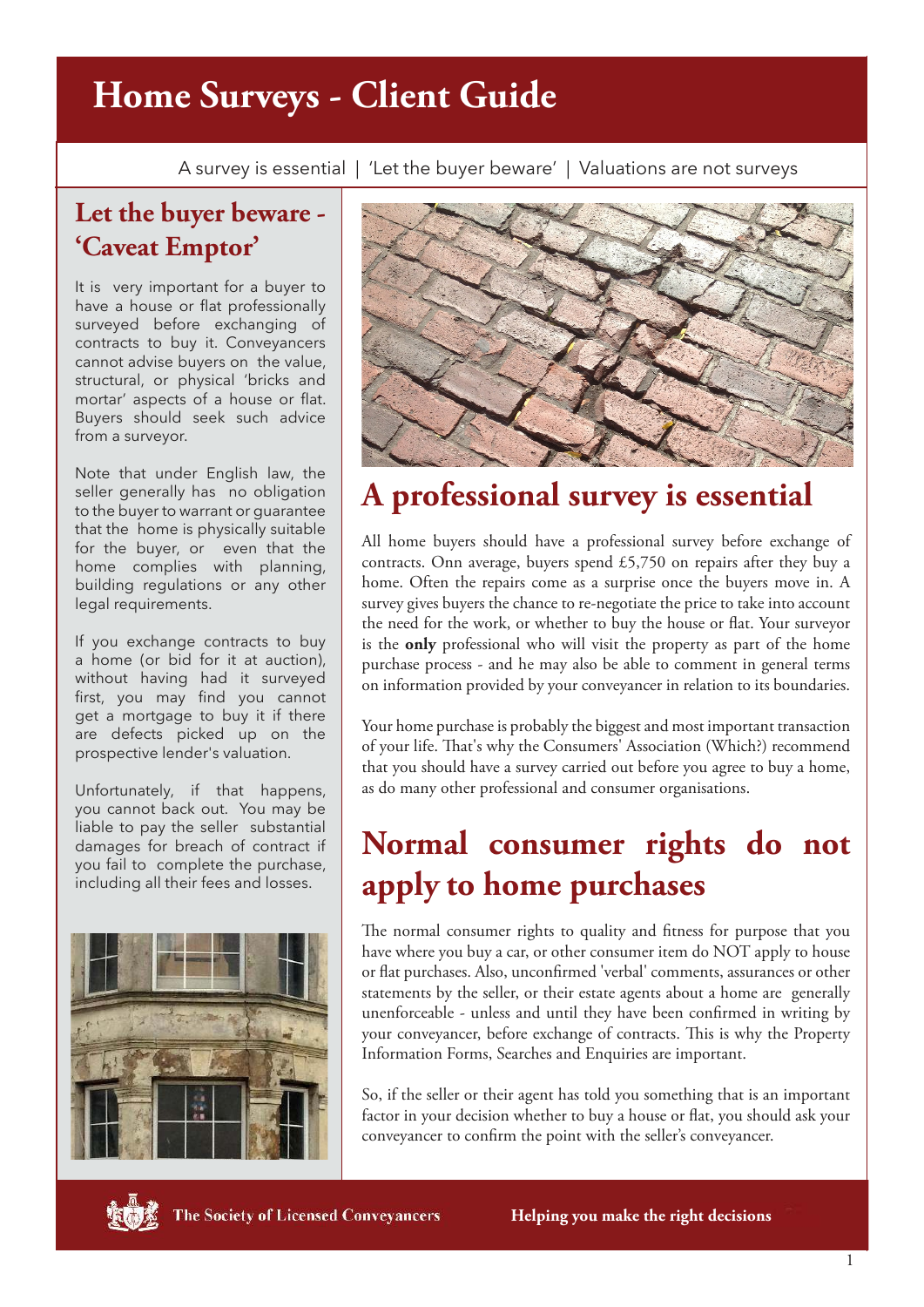## **Home Surveys - Client Guide**

A survey is essential | 'Let the buyer beware' | Valuations are not surveys

#### **Let the buyer beware - 'Caveat Emptor'**

It is very important for a buyer to have a house or flat professionally surveyed before exchanging of contracts to buy it. Conveyancers cannot advise buyers on the value, structural, or physical 'bricks and mortar' aspects of a house or flat. Buyers should seek such advice from a surveyor.

Note that under English law, the seller generally has no obligation to the buyer to warrant or guarantee that the home is physically suitable for the buyer, or even that the home complies with planning, building regulations or any other legal requirements.

If you exchange contracts to buy a home (or bid for it at auction), without having had it surveyed first, you may find you cannot get a mortgage to buy it if there are defects picked up on the prospective lender's valuation.

Unfortunately, if that happens, you cannot back out. You may be liable to pay the seller substantial damages for breach of contract if you fail to complete the purchase, including all their fees and losses.





### **A professional survey is essential**

All home buyers should have a professional survey before exchange of contracts. Onn average, buyers spend £5,750 on repairs after they buy a home. Often the repairs come as a surprise once the buyers move in. A survey gives buyers the chance to re-negotiate the price to take into account the need for the work, or whether to buy the house or flat. Your surveyor is the **only** professional who will visit the property as part of the home purchase process - and he may also be able to comment in general terms on information provided by your conveyancer in relation to its boundaries.

Your home purchase is probably the biggest and most important transaction of your life. That's why the Consumers' Association (Which?) recommend that you should have a survey carried out before you agree to buy a home, as do many other professional and consumer organisations.

## **Normal consumer rights do not apply to home purchases**

The normal consumer rights to quality and fitness for purpose that you have where you buy a car, or other consumer item do NOT apply to house or flat purchases. Also, unconfirmed 'verbal' comments, assurances or other statements by the seller, or their estate agents about a home are generally unenforceable - unless and until they have been confirmed in writing by your conveyancer, before exchange of contracts. This is why the Property Information Forms, Searches and Enquiries are important.

So, if the seller or their agent has told you something that is an important factor in your decision whether to buy a house or flat, you should ask your conveyancer to confirm the point with the seller's conveyancer.